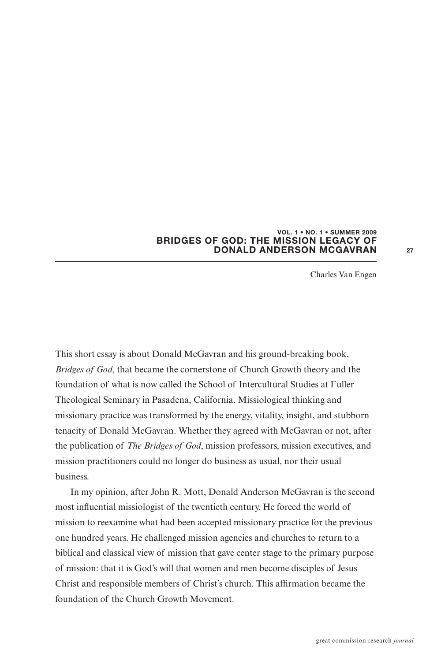## **VOL. 1 • NO. 1 • SUMMER 2009 BRIDGES OF GOD: THE MISSION LEGACY OF DONALD ANDERSON MCGAVRAN**

Charles Van Engen

This short essay is about Donald McGavran and his ground-breaking book, *Bridges of God*, that became the cornerstone of Church Growth theory and the foundation of what is now called the School of Intercultural Studies at Fuller Theological Seminary in Pasadena, California. Missiological thinking and missionary practice was transformed by the energy, vitality, insight, and stubborn tenacity of Donald McGavran. Whether they agreed with McGavran or not, after the publication of *The Bridges of God*, mission professors, mission executives, and mission practitioners could no longer do business as usual, nor their usual business.

In my opinion, after John R. Mott, Donald Anderson McGavran is the second most influential missiologist of the twentieth century. He forced the world of mission to reexamine what had been accepted missionary practice for the previous one hundred years. He challenged mission agencies and churches to return to a biblical and classical view of mission that gave center stage to the primary purpose of mission: that it is God's will that women and men become disciples of Jesus Christ and responsible members of Christ's church. This affirmation became the foundation of the Church Growth Movement.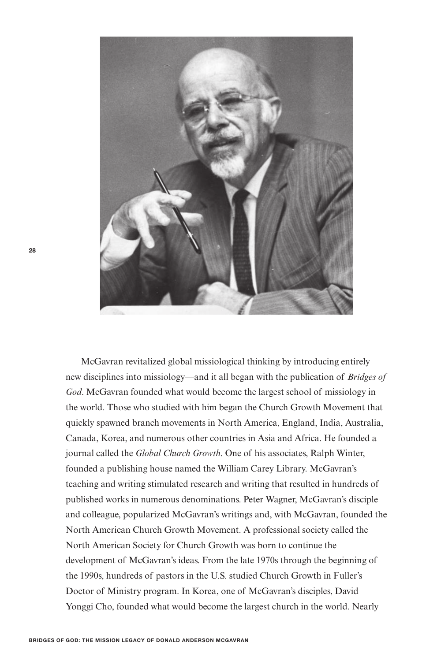

McGavran revitalized global missiological thinking by introducing entirely new disciplines into missiology—and it all began with the publication of *Bridges of God*. McGavran founded what would become the largest school of missiology in the world. Those who studied with him began the Church Growth Movement that quickly spawned branch movements in North America, England, India, Australia, Canada, Korea, and numerous other countries in Asia and Africa. He founded a journal called the *Global Church Growth*. One of his associates, Ralph Winter, founded a publishing house named the William Carey Library. McGavran's teaching and writing stimulated research and writing that resulted in hundreds of published works in numerous denominations. Peter Wagner, McGavran's disciple and colleague, popularized McGavran's writings and, with McGavran, founded the North American Church Growth Movement. A professional society called the North American Society for Church Growth was born to continue the development of McGavran's ideas. From the late 1970s through the beginning of the 1990s, hundreds of pastors in the U.S. studied Church Growth in Fuller's Doctor of Ministry program. In Korea, one of McGavran's disciples, David Yonggi Cho, founded what would become the largest church in the world. Nearly

**28**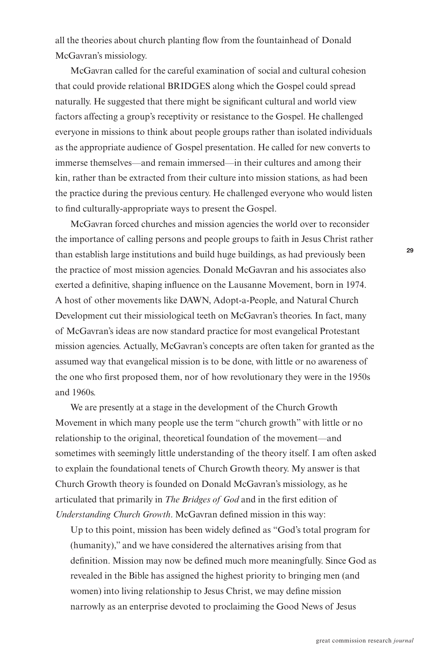all the theories about church planting Iow from the fountainhead of Donald McGavran's missiology.

McGavran called for the careful examination of social and cultural cohesion that could provide relational BRIDGES along which the Gospel could spread naturally. He suggested that there might be significant cultural and world view factors affecting a group's receptivity or resistance to the Gospel. He challenged everyone in missions to think about people groups rather than isolated individuals as the appropriate audience of Gospel presentation. He called for new converts to immerse themselves—and remain immersed—in their cultures and among their kin, rather than be extracted from their culture into mission stations, as had been the practice during the previous century. He challenged everyone who would listen to find culturally-appropriate ways to present the Gospel.

McGavran forced churches and mission agencies the world over to reconsider the importance of calling persons and people groups to faith in Jesus Christ rather than establish large institutions and build huge buildings, as had previously been the practice of most mission agencies. Donald McGavran and his associates also exerted a definitive, shaping influence on the Lausanne Movement, born in 1974. A host of other movements like DAWN, Adopt-a-People, and Natural Church Development cut their missiological teeth on McGavran's theories. In fact, many of McGavran's ideas are now standard practice for most evangelical Protestant mission agencies. Actually, McGavran's concepts are often taken for granted as the assumed way that evangelical mission is to be done, with little or no awareness of the one who first proposed them, nor of how revolutionary they were in the 1950s and 1960s.

We are presently at a stage in the development of the Church Growth Movement in which many people use the term "church growth" with little or no relationship to the original, theoretical foundation of the movement—and sometimes with seemingly little understanding of the theory itself. I am often asked to explain the foundational tenets of Church Growth theory. My answer is that Church Growth theory is founded on Donald McGavran's missiology, as he articulated that primarily in *The Bridges of God* and in the first edition of *Understanding Church Growth. McGavran defined mission in this way:* 

Up to this point, mission has been widely defined as "God's total program for (humanity)," and we have considered the alternatives arising from that definition. Mission may now be defined much more meaningfully. Since God as revealed in the Bible has assigned the highest priority to bringing men (and women) into living relationship to Jesus Christ, we may define mission narrowly as an enterprise devoted to proclaiming the Good News of Jesus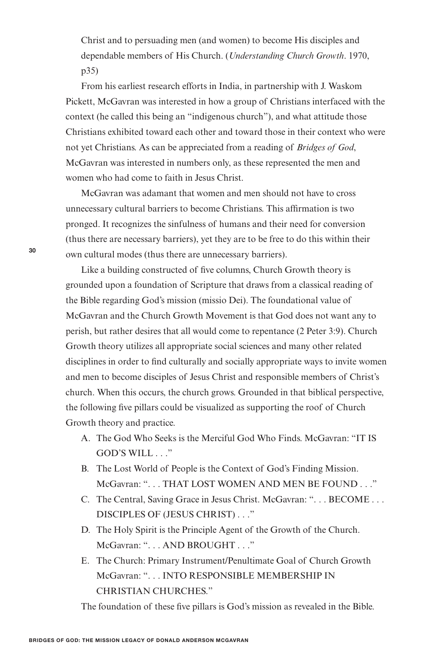Christ and to persuading men (and women) to become His disciples and dependable members of His Church. (*Understanding Church Growth*. 1970, p35)

From his earliest research efforts in India, in partnership with J. Waskom Pickett, McGavran was interested in how a group of Christians interfaced with the context (he called this being an "indigenous church"), and what attitude those Christians exhibited toward each other and toward those in their context who were not yet Christians. As can be appreciated from a reading of *Bridges of God*, McGavran was interested in numbers only, as these represented the men and women who had come to faith in Jesus Christ.

McGavran was adamant that women and men should not have to cross unnecessary cultural barriers to become Christians. This affirmation is two pronged. It recognizes the sinfulness of humans and their need for conversion (thus there are necessary barriers), yet they are to be free to do this within their own cultural modes (thus there are unnecessary barriers).

Like a building constructed of five columns, Church Growth theory is grounded upon a foundation of Scripture that draws from a classical reading of the Bible regarding God's mission (missio Dei). The foundational value of McGavran and the Church Growth Movement is that God does not want any to perish, but rather desires that all would come to repentance (2 Peter 3:9). Church Growth theory utilizes all appropriate social sciences and many other related disciplines in order to find culturally and socially appropriate ways to invite women and men to become disciples of Jesus Christ and responsible members of Christ's church. When this occurs, the church grows. Grounded in that biblical perspective, the following five pillars could be visualized as supporting the roof of Church Growth theory and practice.

- A. The God Who Seeks is the Merciful God Who Finds. McGavran: "IT IS GOD'S WILL . . ."
- B. The Lost World of People is the Context of God's Finding Mission. McGavran: ". . . THAT LOST WOMEN AND MEN BE FOUND . . ."
- C. The Central, Saving Grace in Jesus Christ. McGavran: ". . . BECOME . . . DISCIPLES OF (JESUS CHRIST) . . ."
- D. The Holy Spirit is the Principle Agent of the Growth of the Church. McGavran: ". . . AND BROUGHT . . ."
- E. The Church: Primary Instrument/Penultimate Goal of Church Growth McGavran: ". . . INTO RESPONSIBLE MEMBERSHIP IN CHRISTIAN CHURCHES."

The foundation of these five pillars is God's mission as revealed in the Bible.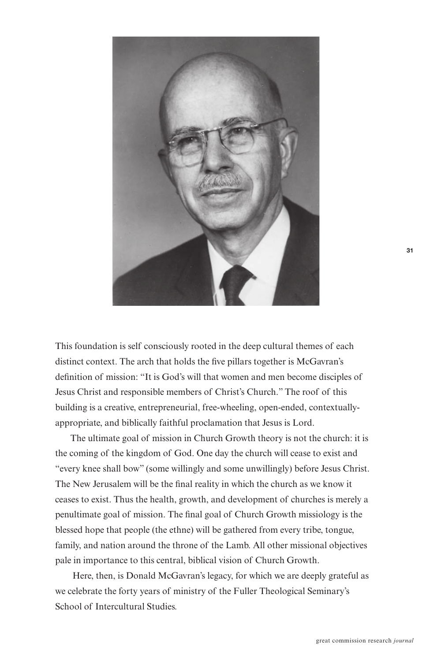

This foundation is self consciously rooted in the deep cultural themes of each distinct context. The arch that holds the five pillars together is McGavran's definition of mission: "It is God's will that women and men become disciples of Jesus Christ and responsible members of Christ's Church." The roof of this building is a creative, entrepreneurial, free-wheeling, open-ended, contextuallyappropriate, and biblically faithful proclamation that Jesus is Lord.

The ultimate goal of mission in Church Growth theory is not the church: it is the coming of the kingdom of God. One day the church will cease to exist and "every knee shall bow" (some willingly and some unwillingly) before Jesus Christ. The New Jerusalem will be the final reality in which the church as we know it ceases to exist. Thus the health, growth, and development of churches is merely a penultimate goal of mission. The final goal of Church Growth missiology is the blessed hope that people (the ethne) will be gathered from every tribe, tongue, family, and nation around the throne of the Lamb. All other missional objectives pale in importance to this central, biblical vision of Church Growth.

Here, then, is Donald McGavran's legacy, for which we are deeply grateful as we celebrate the forty years of ministry of the Fuller Theological Seminary's School of Intercultural Studies.